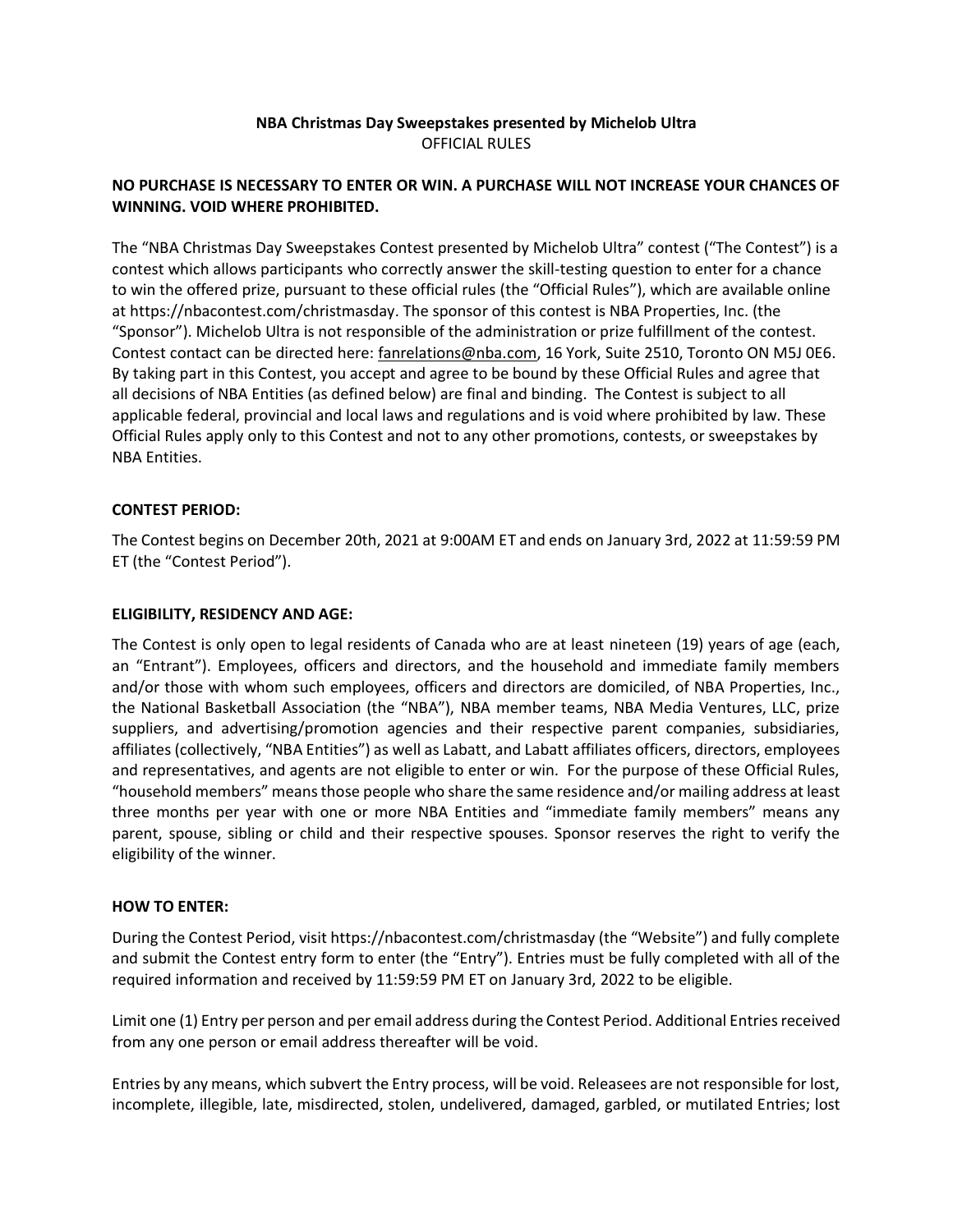# **NBA Christmas Day Sweepstakes presented by Michelob Ultra** OFFICIAL RULES

# **NO PURCHASE IS NECESSARY TO ENTER OR WIN. A PURCHASE WILL NOT INCREASE YOUR CHANCES OF WINNING. VOID WHERE PROHIBITED.**

The "NBA Christmas Day Sweepstakes Contest presented by Michelob Ultra" contest ("The Contest") is a contest which allows participants who correctly answer the skill-testing question to enter for a chance to win the offered prize, pursuant to these official rules (the "Official Rules"), which are available online at https://nbacontest.com/christmasday. The sponsor of this contest is NBA Properties, Inc. (the "Sponsor"). Michelob Ultra is not responsible of the administration or prize fulfillment of the contest. Contest contact can be directed here[: fanrelations@nba.com,](mailto:fanrelations@nba.com) 16 York, Suite 2510, Toronto ON M5J 0E6. By taking part in this Contest, you accept and agree to be bound by these Official Rules and agree that all decisions of NBA Entities (as defined below) are final and binding. The Contest is subject to all applicable federal, provincial and local laws and regulations and is void where prohibited by law. These Official Rules apply only to this Contest and not to any other promotions, contests, or sweepstakes by NBA Entities.

# **CONTEST PERIOD:**

The Contest begins on December 20th, 2021 at 9:00AM ET and ends on January 3rd, 2022 at 11:59:59 PM ET (the "Contest Period").

## **ELIGIBILITY, RESIDENCY AND AGE:**

The Contest is only open to legal residents of Canada who are at least nineteen (19) years of age (each, an "Entrant"). Employees, officers and directors, and the household and immediate family members and/or those with whom such employees, officers and directors are domiciled, of NBA Properties, Inc., the National Basketball Association (the "NBA"), NBA member teams, NBA Media Ventures, LLC, prize suppliers, and advertising/promotion agencies and their respective parent companies, subsidiaries, affiliates (collectively, "NBA Entities") as well as Labatt, and Labatt affiliates officers, directors, employees and representatives, and agents are not eligible to enter or win. For the purpose of these Official Rules, "household members" means those people who share the same residence and/or mailing address at least three months per year with one or more NBA Entities and "immediate family members" means any parent, spouse, sibling or child and their respective spouses. Sponsor reserves the right to verify the eligibility of the winner.

## **HOW TO ENTER:**

During the Contest Period, visit https://nbacontest.com/christmasday (the "Website") and fully complete and submit the Contest entry form to enter (the "Entry"). Entries must be fully completed with all of the required information and received by 11:59:59 PM ET on January 3rd, 2022 to be eligible.

Limit one (1) Entry per person and per email address during the Contest Period. Additional Entries received from any one person or email address thereafter will be void.

Entries by any means, which subvert the Entry process, will be void. Releasees are not responsible for lost, incomplete, illegible, late, misdirected, stolen, undelivered, damaged, garbled, or mutilated Entries; lost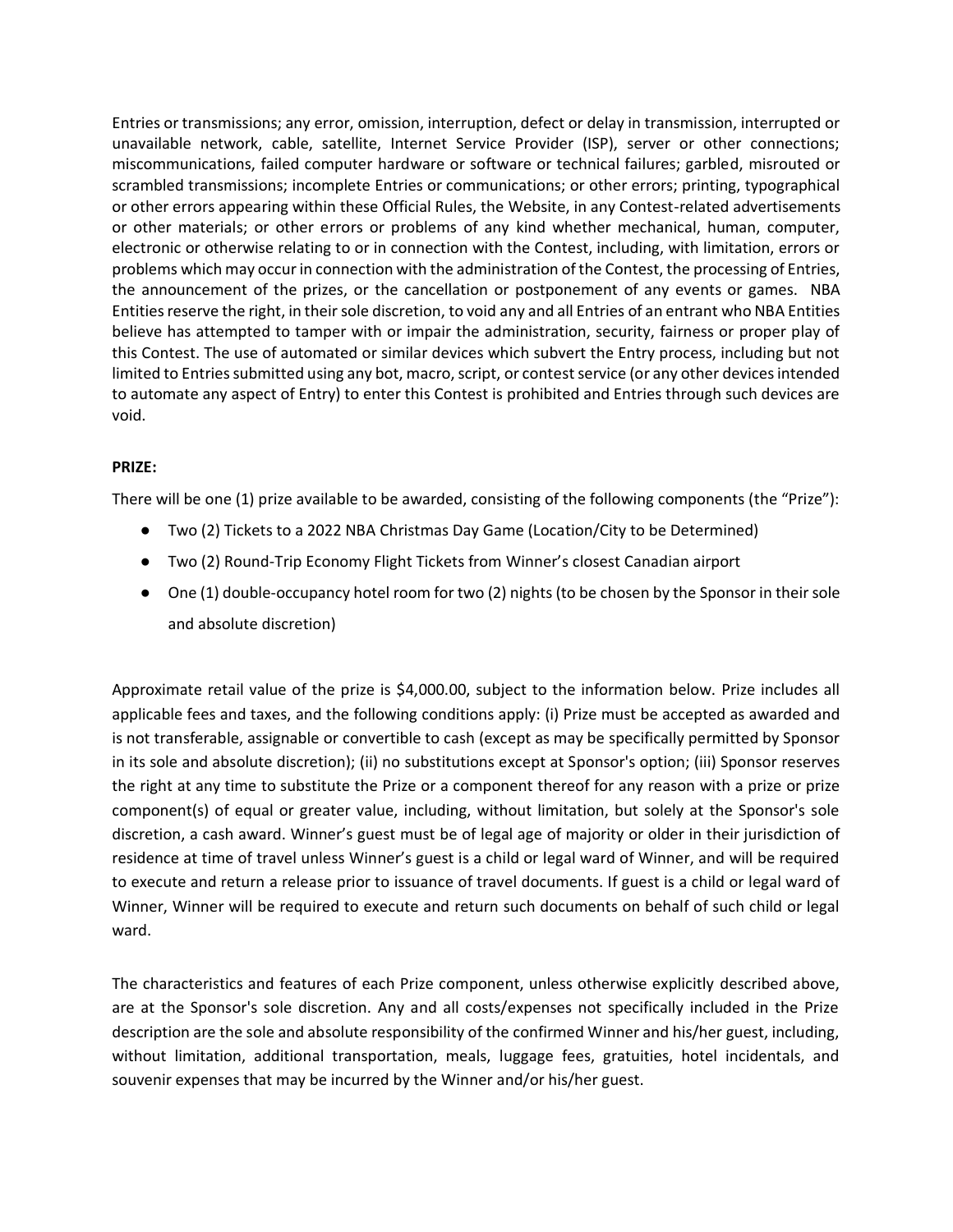Entries or transmissions; any error, omission, interruption, defect or delay in transmission, interrupted or unavailable network, cable, satellite, Internet Service Provider (ISP), server or other connections; miscommunications, failed computer hardware or software or technical failures; garbled, misrouted or scrambled transmissions; incomplete Entries or communications; or other errors; printing, typographical or other errors appearing within these Official Rules, the Website, in any Contest-related advertisements or other materials; or other errors or problems of any kind whether mechanical, human, computer, electronic or otherwise relating to or in connection with the Contest, including, with limitation, errors or problems which may occur in connection with the administration of the Contest, the processing of Entries, the announcement of the prizes, or the cancellation or postponement of any events or games. NBA Entities reserve the right, in their sole discretion, to void any and all Entries of an entrant who NBA Entities believe has attempted to tamper with or impair the administration, security, fairness or proper play of this Contest. The use of automated or similar devices which subvert the Entry process, including but not limited to Entries submitted using any bot, macro, script, or contest service (or any other devices intended to automate any aspect of Entry) to enter this Contest is prohibited and Entries through such devices are void.

## **PRIZE:**

There will be one (1) prize available to be awarded, consisting of the following components (the "Prize"):

- Two (2) Tickets to a 2022 NBA Christmas Day Game (Location/City to be Determined)
- Two (2) Round-Trip Economy Flight Tickets from Winner's closest Canadian airport
- One (1) double-occupancy hotel room for two (2) nights (to be chosen by the Sponsor in their sole and absolute discretion)

Approximate retail value of the prize is \$4,000.00, subject to the information below. Prize includes all applicable fees and taxes, and the following conditions apply: (i) Prize must be accepted as awarded and is not transferable, assignable or convertible to cash (except as may be specifically permitted by Sponsor in its sole and absolute discretion); (ii) no substitutions except at Sponsor's option; (iii) Sponsor reserves the right at any time to substitute the Prize or a component thereof for any reason with a prize or prize component(s) of equal or greater value, including, without limitation, but solely at the Sponsor's sole discretion, a cash award. Winner's guest must be of legal age of majority or older in their jurisdiction of residence at time of travel unless Winner's guest is a child or legal ward of Winner, and will be required to execute and return a release prior to issuance of travel documents. If guest is a child or legal ward of Winner, Winner will be required to execute and return such documents on behalf of such child or legal ward.

The characteristics and features of each Prize component, unless otherwise explicitly described above, are at the Sponsor's sole discretion. Any and all costs/expenses not specifically included in the Prize description are the sole and absolute responsibility of the confirmed Winner and his/her guest, including, without limitation, additional transportation, meals, luggage fees, gratuities, hotel incidentals, and souvenir expenses that may be incurred by the Winner and/or his/her guest.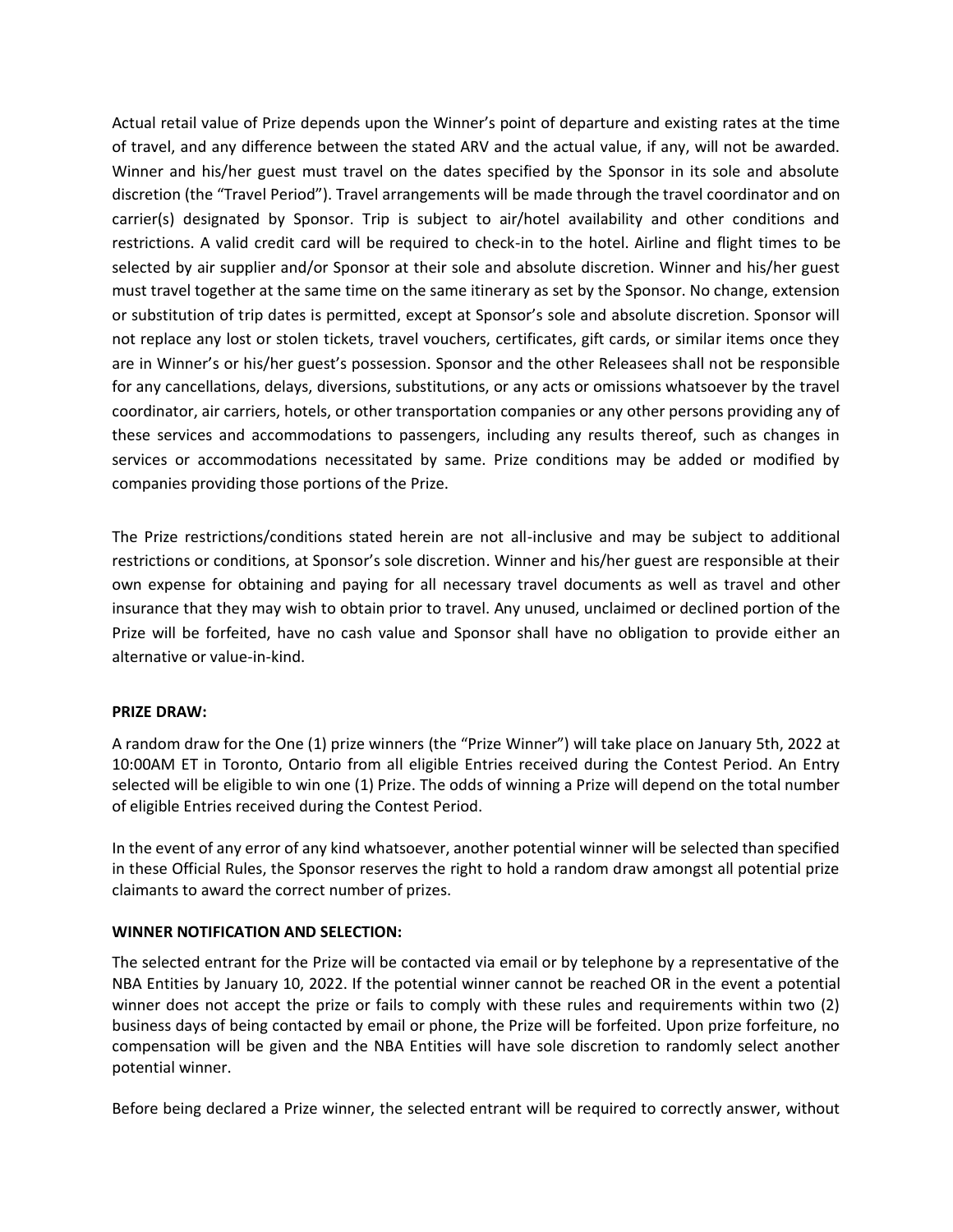Actual retail value of Prize depends upon the Winner's point of departure and existing rates at the time of travel, and any difference between the stated ARV and the actual value, if any, will not be awarded. Winner and his/her guest must travel on the dates specified by the Sponsor in its sole and absolute discretion (the "Travel Period"). Travel arrangements will be made through the travel coordinator and on carrier(s) designated by Sponsor. Trip is subject to air/hotel availability and other conditions and restrictions. A valid credit card will be required to check-in to the hotel. Airline and flight times to be selected by air supplier and/or Sponsor at their sole and absolute discretion. Winner and his/her guest must travel together at the same time on the same itinerary as set by the Sponsor. No change, extension or substitution of trip dates is permitted, except at Sponsor's sole and absolute discretion. Sponsor will not replace any lost or stolen tickets, travel vouchers, certificates, gift cards, or similar items once they are in Winner's or his/her guest's possession. Sponsor and the other Releasees shall not be responsible for any cancellations, delays, diversions, substitutions, or any acts or omissions whatsoever by the travel coordinator, air carriers, hotels, or other transportation companies or any other persons providing any of these services and accommodations to passengers, including any results thereof, such as changes in services or accommodations necessitated by same. Prize conditions may be added or modified by companies providing those portions of the Prize.

The Prize restrictions/conditions stated herein are not all-inclusive and may be subject to additional restrictions or conditions, at Sponsor's sole discretion. Winner and his/her guest are responsible at their own expense for obtaining and paying for all necessary travel documents as well as travel and other insurance that they may wish to obtain prior to travel. Any unused, unclaimed or declined portion of the Prize will be forfeited, have no cash value and Sponsor shall have no obligation to provide either an alternative or value-in-kind.

## **PRIZE DRAW:**

A random draw for the One (1) prize winners (the "Prize Winner") will take place on January 5th, 2022 at 10:00AM ET in Toronto, Ontario from all eligible Entries received during the Contest Period. An Entry selected will be eligible to win one (1) Prize. The odds of winning a Prize will depend on the total number of eligible Entries received during the Contest Period.

In the event of any error of any kind whatsoever, another potential winner will be selected than specified in these Official Rules, the Sponsor reserves the right to hold a random draw amongst all potential prize claimants to award the correct number of prizes.

## **WINNER NOTIFICATION AND SELECTION:**

The selected entrant for the Prize will be contacted via email or by telephone by a representative of the NBA Entities by January 10, 2022. If the potential winner cannot be reached OR in the event a potential winner does not accept the prize or fails to comply with these rules and requirements within two (2) business days of being contacted by email or phone, the Prize will be forfeited. Upon prize forfeiture, no compensation will be given and the NBA Entities will have sole discretion to randomly select another potential winner.

Before being declared a Prize winner, the selected entrant will be required to correctly answer, without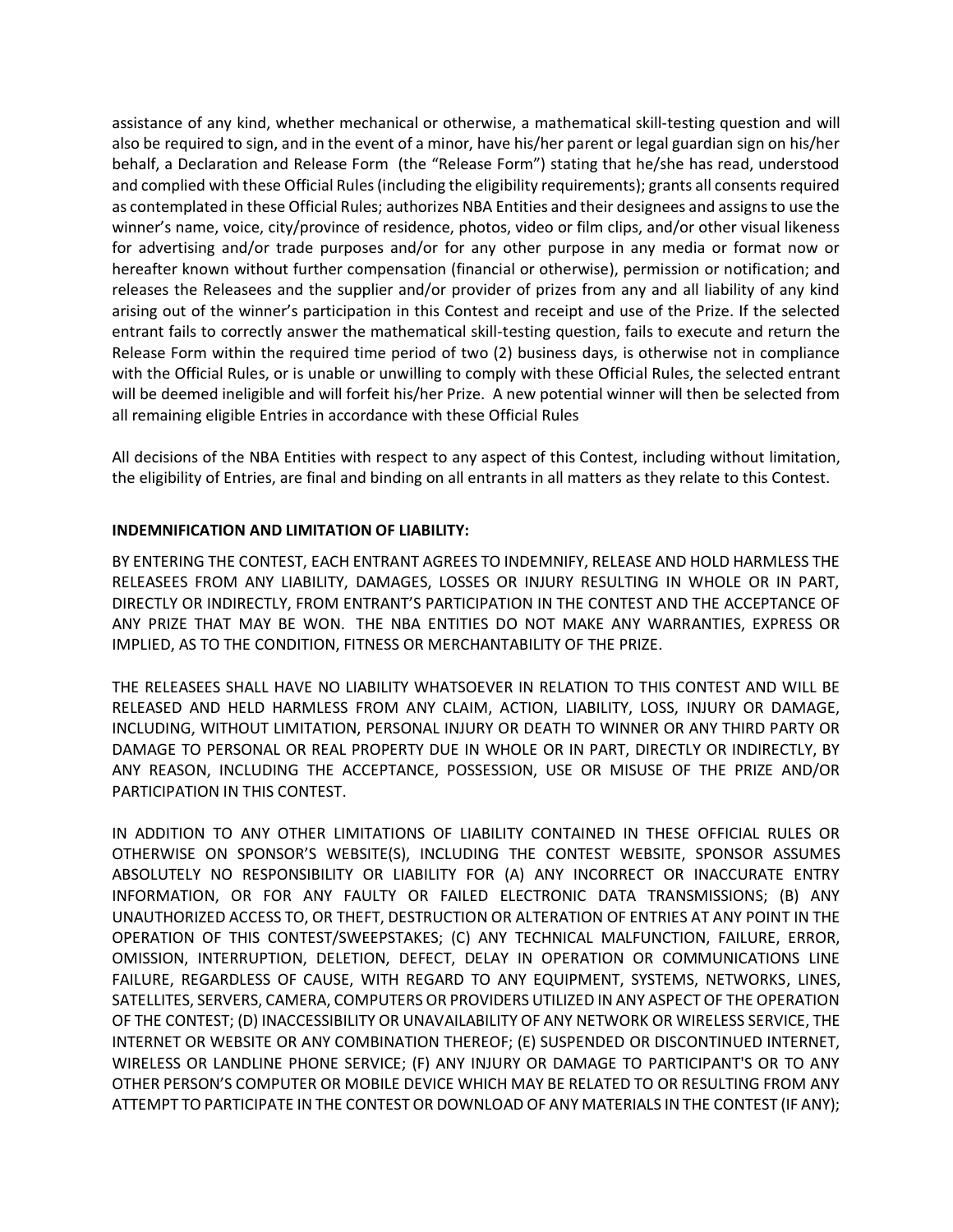assistance of any kind, whether mechanical or otherwise, a mathematical skill-testing question and will also be required to sign, and in the event of a minor, have his/her parent or legal guardian sign on his/her behalf, a Declaration and Release Form (the "Release Form") stating that he/she has read, understood and complied with these Official Rules (including the eligibility requirements); grants all consents required as contemplated in these Official Rules; authorizes NBA Entities and their designees and assigns to use the winner's name, voice, city/province of residence, photos, video or film clips, and/or other visual likeness for advertising and/or trade purposes and/or for any other purpose in any media or format now or hereafter known without further compensation (financial or otherwise), permission or notification; and releases the Releasees and the supplier and/or provider of prizes from any and all liability of any kind arising out of the winner's participation in this Contest and receipt and use of the Prize. If the selected entrant fails to correctly answer the mathematical skill-testing question, fails to execute and return the Release Form within the required time period of two (2) business days, is otherwise not in compliance with the Official Rules, or is unable or unwilling to comply with these Official Rules, the selected entrant will be deemed ineligible and will forfeit his/her Prize. A new potential winner will then be selected from all remaining eligible Entries in accordance with these Official Rules

All decisions of the NBA Entities with respect to any aspect of this Contest, including without limitation, the eligibility of Entries, are final and binding on all entrants in all matters as they relate to this Contest.

## **INDEMNIFICATION AND LIMITATION OF LIABILITY:**

BY ENTERING THE CONTEST, EACH ENTRANT AGREES TO INDEMNIFY, RELEASE AND HOLD HARMLESS THE RELEASEES FROM ANY LIABILITY, DAMAGES, LOSSES OR INJURY RESULTING IN WHOLE OR IN PART, DIRECTLY OR INDIRECTLY, FROM ENTRANT'S PARTICIPATION IN THE CONTEST AND THE ACCEPTANCE OF ANY PRIZE THAT MAY BE WON. THE NBA ENTITIES DO NOT MAKE ANY WARRANTIES, EXPRESS OR IMPLIED, AS TO THE CONDITION, FITNESS OR MERCHANTABILITY OF THE PRIZE.

THE RELEASEES SHALL HAVE NO LIABILITY WHATSOEVER IN RELATION TO THIS CONTEST AND WILL BE RELEASED AND HELD HARMLESS FROM ANY CLAIM, ACTION, LIABILITY, LOSS, INJURY OR DAMAGE, INCLUDING, WITHOUT LIMITATION, PERSONAL INJURY OR DEATH TO WINNER OR ANY THIRD PARTY OR DAMAGE TO PERSONAL OR REAL PROPERTY DUE IN WHOLE OR IN PART, DIRECTLY OR INDIRECTLY, BY ANY REASON, INCLUDING THE ACCEPTANCE, POSSESSION, USE OR MISUSE OF THE PRIZE AND/OR PARTICIPATION IN THIS CONTEST.

IN ADDITION TO ANY OTHER LIMITATIONS OF LIABILITY CONTAINED IN THESE OFFICIAL RULES OR OTHERWISE ON SPONSOR'S WEBSITE(S), INCLUDING THE CONTEST WEBSITE, SPONSOR ASSUMES ABSOLUTELY NO RESPONSIBILITY OR LIABILITY FOR (A) ANY INCORRECT OR INACCURATE ENTRY INFORMATION, OR FOR ANY FAULTY OR FAILED ELECTRONIC DATA TRANSMISSIONS; (B) ANY UNAUTHORIZED ACCESS TO, OR THEFT, DESTRUCTION OR ALTERATION OF ENTRIES AT ANY POINT IN THE OPERATION OF THIS CONTEST/SWEEPSTAKES; (C) ANY TECHNICAL MALFUNCTION, FAILURE, ERROR, OMISSION, INTERRUPTION, DELETION, DEFECT, DELAY IN OPERATION OR COMMUNICATIONS LINE FAILURE, REGARDLESS OF CAUSE, WITH REGARD TO ANY EQUIPMENT, SYSTEMS, NETWORKS, LINES, SATELLITES, SERVERS, CAMERA, COMPUTERS OR PROVIDERS UTILIZED IN ANY ASPECT OF THE OPERATION OF THE CONTEST; (D) INACCESSIBILITY OR UNAVAILABILITY OF ANY NETWORK OR WIRELESS SERVICE, THE INTERNET OR WEBSITE OR ANY COMBINATION THEREOF; (E) SUSPENDED OR DISCONTINUED INTERNET, WIRELESS OR LANDLINE PHONE SERVICE; (F) ANY INJURY OR DAMAGE TO PARTICIPANT'S OR TO ANY OTHER PERSON'S COMPUTER OR MOBILE DEVICE WHICH MAY BE RELATED TO OR RESULTING FROM ANY ATTEMPT TO PARTICIPATE IN THE CONTEST OR DOWNLOAD OF ANY MATERIALS IN THE CONTEST (IF ANY);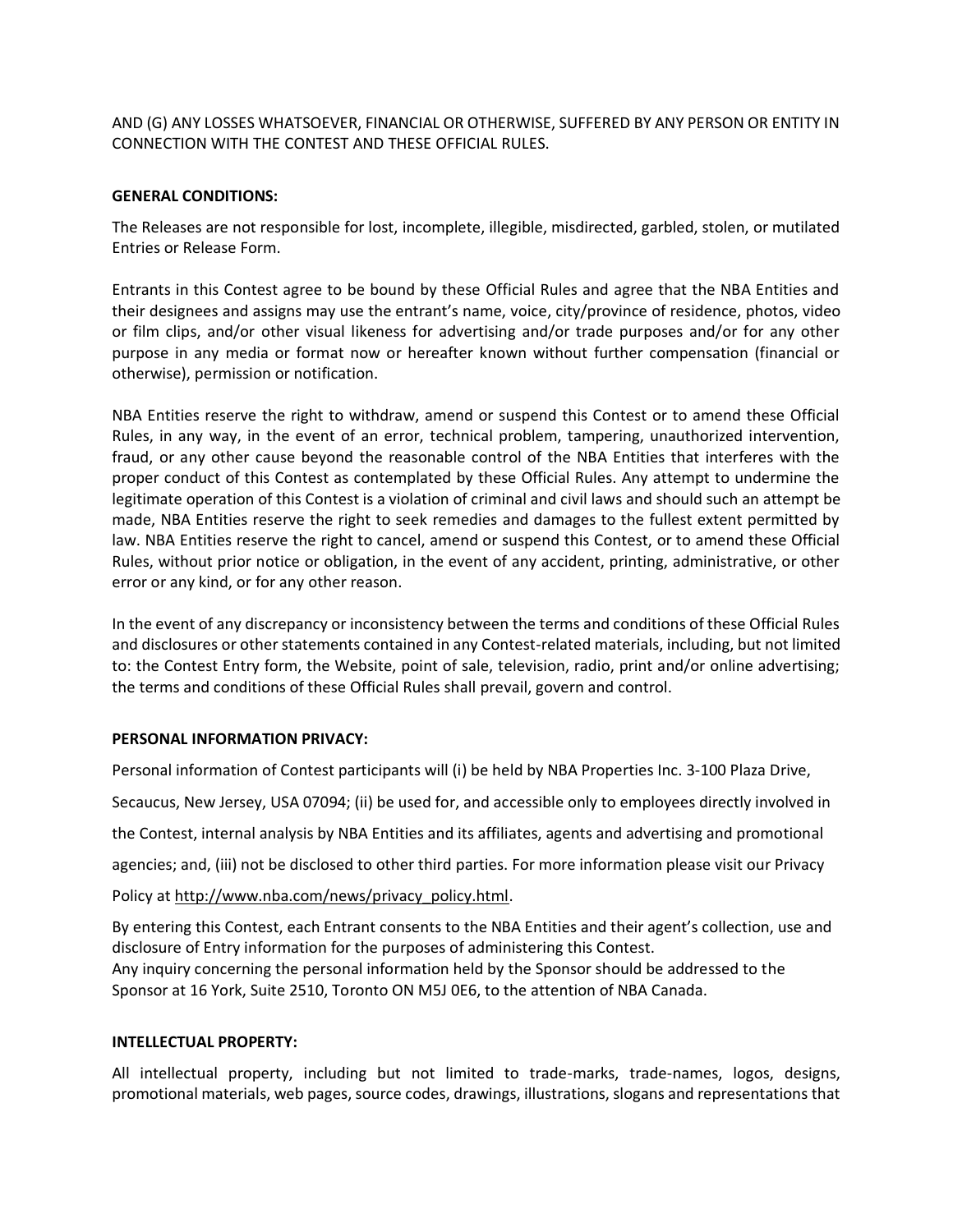AND (G) ANY LOSSES WHATSOEVER, FINANCIAL OR OTHERWISE, SUFFERED BY ANY PERSON OR ENTITY IN CONNECTION WITH THE CONTEST AND THESE OFFICIAL RULES.

#### **GENERAL CONDITIONS:**

The Releases are not responsible for lost, incomplete, illegible, misdirected, garbled, stolen, or mutilated Entries or Release Form.

Entrants in this Contest agree to be bound by these Official Rules and agree that the NBA Entities and their designees and assigns may use the entrant's name, voice, city/province of residence, photos, video or film clips, and/or other visual likeness for advertising and/or trade purposes and/or for any other purpose in any media or format now or hereafter known without further compensation (financial or otherwise), permission or notification.

NBA Entities reserve the right to withdraw, amend or suspend this Contest or to amend these Official Rules, in any way, in the event of an error, technical problem, tampering, unauthorized intervention, fraud, or any other cause beyond the reasonable control of the NBA Entities that interferes with the proper conduct of this Contest as contemplated by these Official Rules. Any attempt to undermine the legitimate operation of this Contest is a violation of criminal and civil laws and should such an attempt be made, NBA Entities reserve the right to seek remedies and damages to the fullest extent permitted by law. NBA Entities reserve the right to cancel, amend or suspend this Contest, or to amend these Official Rules, without prior notice or obligation, in the event of any accident, printing, administrative, or other error or any kind, or for any other reason.

In the event of any discrepancy or inconsistency between the terms and conditions of these Official Rules and disclosures or other statements contained in any Contest-related materials, including, but not limited to: the Contest Entry form, the Website, point of sale, television, radio, print and/or online advertising; the terms and conditions of these Official Rules shall prevail, govern and control.

#### **PERSONAL INFORMATION PRIVACY:**

Personal information of Contest participants will (i) be held by NBA Properties Inc. 3-100 Plaza Drive, Secaucus, New Jersey, USA 07094; (ii) be used for, and accessible only to employees directly involved in the Contest, internal analysis by NBA Entities and its affiliates, agents and advertising and promotional agencies; and, (iii) not be disclosed to other third parties. For more information please visit our Privacy Policy at [http://www.nba.com/news/privacy\\_policy.html.](http://www.nba.com/news/privacy_policy.html)

By entering this Contest, each Entrant consents to the NBA Entities and their agent's collection, use and disclosure of Entry information for the purposes of administering this Contest. Any inquiry concerning the personal information held by the Sponsor should be addressed to the Sponsor at 16 York, Suite 2510, Toronto ON M5J 0E6, to the attention of NBA Canada.

#### **INTELLECTUAL PROPERTY:**

All intellectual property, including but not limited to trade-marks, trade-names, logos, designs, promotional materials, web pages, source codes, drawings, illustrations, slogans and representations that